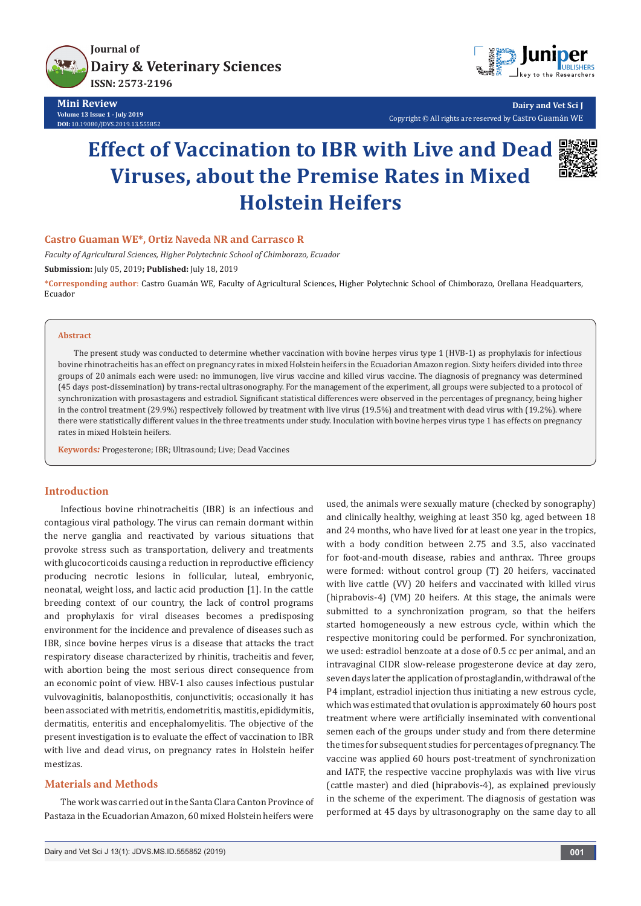

**Mini Review Volume 13 Issue 1 - July 2019 DOI:** [10.19080/JDVS.2019.13.555852](http://dx.doi.org/10.19080/JDVS.2019.13.555852)



**Dairy and Vet Sci J** Copyright © All rights are reserved by Castro Guamán WE

# **Effect of Vaccination to IBR with Live and Dead Viruses, about the Premise Rates in Mixed Holstein Heifers**



## **Castro Guaman WE\*, Ortiz Naveda NR and Carrasco R**

*Faculty of Agricultural Sciences, Higher Polytechnic School of Chimborazo, Ecuador*

**Submission:** July 05, 2019**; Published:** July 18, 2019

**\*Corresponding author**: Castro Guamán WE, Faculty of Agricultural Sciences, Higher Polytechnic School of Chimborazo, Orellana Headquarters, Ecuador

#### **Abstract**

The present study was conducted to determine whether vaccination with bovine herpes virus type 1 (HVB-1) as prophylaxis for infectious bovine rhinotracheitis has an effect on pregnancy rates in mixed Holstein heifers in the Ecuadorian Amazon region. Sixty heifers divided into three groups of 20 animals each were used: no immunogen, live virus vaccine and killed virus vaccine. The diagnosis of pregnancy was determined (45 days post-dissemination) by trans-rectal ultrasonography. For the management of the experiment, all groups were subjected to a protocol of synchronization with prosastagens and estradiol. Significant statistical differences were observed in the percentages of pregnancy, being higher in the control treatment (29.9%) respectively followed by treatment with live virus (19.5%) and treatment with dead virus with (19.2%). where there were statistically different values in the three treatments under study. Inoculation with bovine herpes virus type 1 has effects on pregnancy rates in mixed Holstein heifers.

**Keywords***:* Progesterone; IBR; Ultrasound; Live; Dead Vaccines

## **Introduction**

Infectious bovine rhinotracheitis (IBR) is an infectious and contagious viral pathology. The virus can remain dormant within the nerve ganglia and reactivated by various situations that provoke stress such as transportation, delivery and treatments with glucocorticoids causing a reduction in reproductive efficiency producing necrotic lesions in follicular, luteal, embryonic, neonatal, weight loss, and lactic acid production [1]. In the cattle breeding context of our country, the lack of control programs and prophylaxis for viral diseases becomes a predisposing environment for the incidence and prevalence of diseases such as IBR, since bovine herpes virus is a disease that attacks the tract respiratory disease characterized by rhinitis, tracheitis and fever, with abortion being the most serious direct consequence from an economic point of view. HBV-1 also causes infectious pustular vulvovaginitis, balanoposthitis, conjunctivitis; occasionally it has been associated with metritis, endometritis, mastitis, epididymitis, dermatitis, enteritis and encephalomyelitis. The objective of the present investigation is to evaluate the effect of vaccination to IBR with live and dead virus, on pregnancy rates in Holstein heifer mestizas.

# **Materials and Methods**

The work was carried out in the Santa Clara Canton Province of Pastaza in the Ecuadorian Amazon, 60 mixed Holstein heifers were

used, the animals were sexually mature (checked by sonography) and clinically healthy, weighing at least 350 kg, aged between 18 and 24 months, who have lived for at least one year in the tropics, with a body condition between 2.75 and 3.5, also vaccinated for foot-and-mouth disease, rabies and anthrax. Three groups were formed: without control group (T) 20 heifers, vaccinated with live cattle (VV) 20 heifers and vaccinated with killed virus (hiprabovis-4) (VM) 20 heifers. At this stage, the animals were submitted to a synchronization program, so that the heifers started homogeneously a new estrous cycle, within which the respective monitoring could be performed. For synchronization, we used: estradiol benzoate at a dose of 0.5 cc per animal, and an intravaginal CIDR slow-release progesterone device at day zero, seven days later the application of prostaglandin, withdrawal of the P4 implant, estradiol injection thus initiating a new estrous cycle, which was estimated that ovulation is approximately 60 hours post treatment where were artificially inseminated with conventional semen each of the groups under study and from there determine the times for subsequent studies for percentages of pregnancy. The vaccine was applied 60 hours post-treatment of synchronization and IATF, the respective vaccine prophylaxis was with live virus (cattle master) and died (hiprabovis-4), as explained previously in the scheme of the experiment. The diagnosis of gestation was performed at 45 days by ultrasonography on the same day to all